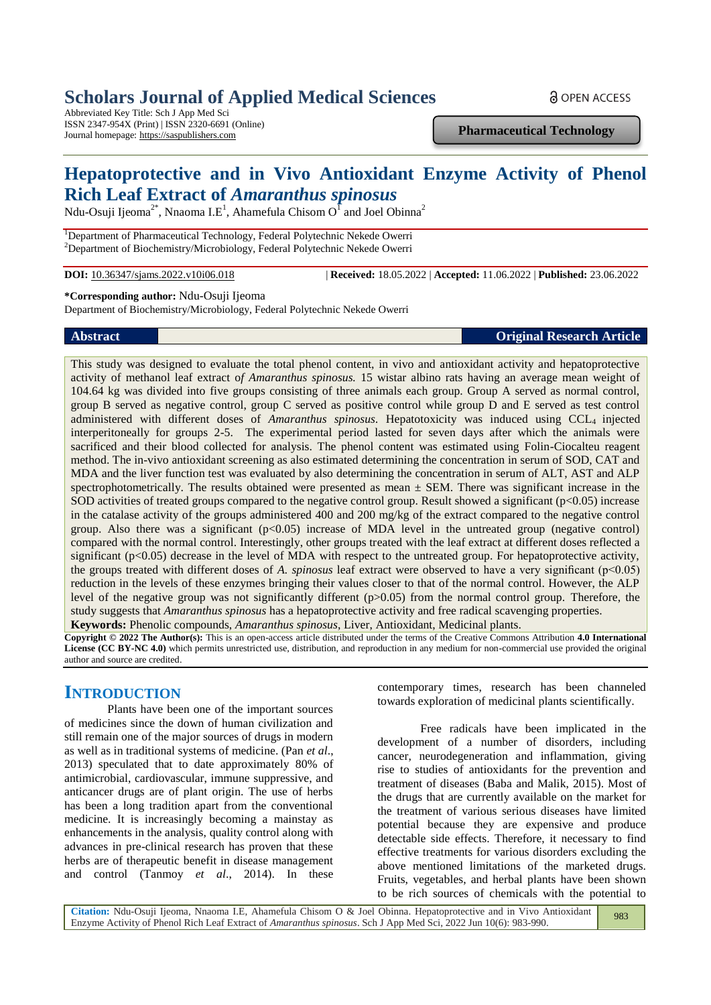# **Scholars Journal of Applied Medical Sciences**

Abbreviated Key Title: Sch J App Med Sci ISSN 2347-954X (Print) | ISSN 2320-6691 (Online) Journal homepage: https://saspublishers.com

**Pharmaceutical Technology**

a OPEN ACCESS

# **Hepatoprotective and in Vivo Antioxidant Enzyme Activity of Phenol Rich Leaf Extract of** *Amaranthus spinosus*

Ndu-Osuji Ijeoma<sup>2\*</sup>, Nnaoma I.E<sup>1</sup>, Ahamefula Chisom O<sup>T</sup> and Joel Obinna<sup>2</sup>

<sup>1</sup>Department of Pharmaceutical Technology, Federal Polytechnic Nekede Owerri <sup>2</sup>Department of Biochemistry/Microbiology, Federal Polytechnic Nekede Owerri

**DOI:** 10.36347/sjams.2022.v10i06.018 | **Received:** 18.05.2022 | **Accepted:** 11.06.2022 | **Published:** 23.06.2022

**\*Corresponding author:** Ndu-Osuji Ijeoma

Department of Biochemistry/Microbiology, Federal Polytechnic Nekede Owerri

**Abstract Original Research Article**

This study was designed to evaluate the total phenol content, in vivo and antioxidant activity and hepatoprotective activity of methanol leaf extract o*f Amaranthus spinosus.* 15 wistar albino rats having an average mean weight of 104.64 kg was divided into five groups consisting of three animals each group. Group A served as normal control, group B served as negative control, group C served as positive control while group D and E served as test control administered with different doses of *Amaranthus spinosus*. Hepatotoxicity was induced using CCL<sub>4</sub> injected interperitoneally for groups 2-5. The experimental period lasted for seven days after which the animals were sacrificed and their blood collected for analysis. The phenol content was estimated using Folin-Ciocalteu reagent method. The in-vivo antioxidant screening as also estimated determining the concentration in serum of SOD, CAT and MDA and the liver function test was evaluated by also determining the concentration in serum of ALT, AST and ALP spectrophotometrically. The results obtained were presented as mean  $\pm$  SEM. There was significant increase in the SOD activities of treated groups compared to the negative control group. Result showed a significant  $(p<0.05)$  increase in the catalase activity of the groups administered 400 and 200 mg/kg of the extract compared to the negative control group. Also there was a significant  $(p<0.05)$  increase of MDA level in the untreated group (negative control) compared with the normal control. Interestingly, other groups treated with the leaf extract at different doses reflected a significant  $(p<0.05)$  decrease in the level of MDA with respect to the untreated group. For hepatoprotective activity, the groups treated with different doses of *A. spinosus* leaf extract were observed to have a very significant (p<0.05) reduction in the levels of these enzymes bringing their values closer to that of the normal control. However, the ALP level of the negative group was not significantly different (p>0.05) from the normal control group. Therefore, the study suggests that *Amaranthus spinosus* has a hepatoprotective activity and free radical scavenging properties. **Keywords:** Phenolic compounds, *Amaranthus spinosus*, Liver, Antioxidant, Medicinal plants.

**Copyright © 2022 The Author(s):** This is an open-access article distributed under the terms of the Creative Commons Attribution **4.0 International License (CC BY-NC 4.0)** which permits unrestricted use, distribution, and reproduction in any medium for non-commercial use provided the original author and source are credited.

## **INTRODUCTION**

Plants have been one of the important sources of medicines since the down of human civilization and still remain one of the major sources of drugs in modern as well as in traditional systems of medicine. (Pan *et al*., 2013) speculated that to date approximately 80% of antimicrobial, cardiovascular, immune suppressive, and anticancer drugs are of plant origin. The use of herbs has been a long tradition apart from the conventional medicine. It is increasingly becoming a mainstay as enhancements in the analysis, quality control along with advances in pre-clinical research has proven that these herbs are of therapeutic benefit in disease management and control (Tanmoy *et al*., 2014). In these

contemporary times, research has been channeled towards exploration of medicinal plants scientifically.

Free radicals have been implicated in the development of a number of disorders, including cancer, neurodegeneration and inflammation, giving rise to studies of antioxidants for the prevention and treatment of diseases (Baba and Malik, 2015). Most of the drugs that are currently available on the market for the treatment of various serious diseases have limited potential because they are expensive and produce detectable side effects. Therefore, it necessary to find effective treatments for various disorders excluding the above mentioned limitations of the marketed drugs. Fruits, vegetables, and herbal plants have been shown to be rich sources of chemicals with the potential to

**Citation:** Ndu-Osuji Ijeoma, Nnaoma I.E, Ahamefula Chisom O & Joel Obinna. Hepatoprotective and in Vivo Antioxidant Enzyme Activity of Phenol Rich Leaf Extract of *Amaranthus spinosus*. Sch J App Med Sci, 2022 Jun 10(6): 983-990. 983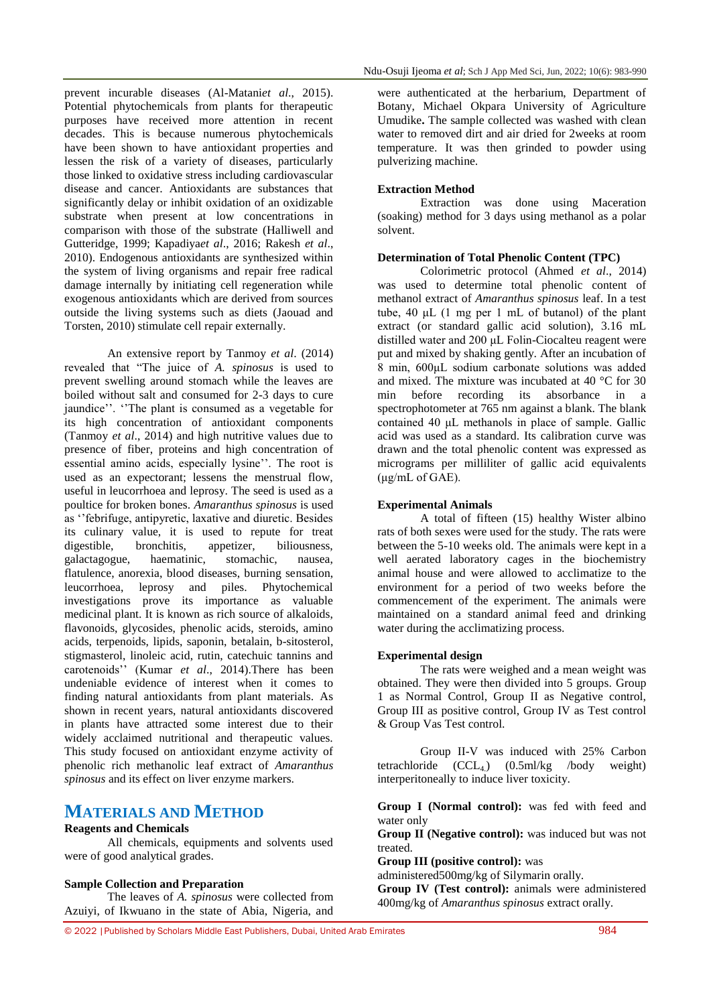prevent incurable diseases (Al-Matani*et al*., 2015). Potential phytochemicals from plants for therapeutic purposes have received more attention in recent decades. This is because numerous phytochemicals have been shown to have antioxidant properties and lessen the risk of a variety of diseases, particularly those linked to oxidative stress including cardiovascular disease and cancer. Antioxidants are substances that significantly delay or inhibit oxidation of an oxidizable substrate when present at low concentrations in comparison with those of the substrate (Halliwell and Gutteridge, 1999; Kapadiya*et al*., 2016; Rakesh *et al*., 2010). Endogenous antioxidants are synthesized within the system of living organisms and repair free radical damage internally by initiating cell regeneration while exogenous antioxidants which are derived from sources outside the living systems such as diets (Jaouad and Torsten, 2010) stimulate cell repair externally.

An extensive report by Tanmoy *et al*. (2014) revealed that "The juice of *A. spinosus* is used to prevent swelling around stomach while the leaves are boiled without salt and consumed for 2-3 days to cure jaundice''. ''The plant is consumed as a vegetable for its high concentration of antioxidant components (Tanmoy *et al*., 2014) and high nutritive values due to presence of fiber, proteins and high concentration of essential amino acids, especially lysine''. The root is used as an expectorant; lessens the menstrual flow, useful in leucorrhoea and leprosy. The seed is used as a poultice for broken bones. *Amaranthus spinosus* is used as ''febrifuge, antipyretic, laxative and diuretic. Besides its culinary value, it is used to repute for treat digestible, bronchitis, appetizer, biliousness, galactagogue, haematinic, stomachic, nausea, flatulence, anorexia, blood diseases, burning sensation, leucorrhoea, leprosy and piles. Phytochemical investigations prove its importance as valuable medicinal plant. It is known as rich source of alkaloids, flavonoids, glycosides, phenolic acids, steroids, amino acids, terpenoids, lipids, saponin, betalain, b-sitosterol, stigmasterol, linoleic acid, rutin, catechuic tannins and carotenoids'' (Kumar *et al*., 2014).There has been undeniable evidence of interest when it comes to finding natural antioxidants from plant materials. As shown in recent years, natural antioxidants discovered in plants have attracted some interest due to their widely acclaimed nutritional and therapeutic values. This study focused on antioxidant enzyme activity of phenolic rich methanolic leaf extract of *Amaranthus spinosus* and its effect on liver enzyme markers.

## **MATERIALS AND METHOD**

### **Reagents and Chemicals**

All chemicals, equipments and solvents used were of good analytical grades.

#### **Sample Collection and Preparation**

The leaves of *A. spinosus* were collected from Azuiyi, of Ikwuano in the state of Abia, Nigeria, and were authenticated at the herbarium, Department of Botany, Michael Okpara University of Agriculture Umudike**.** The sample collected was washed with clean water to removed dirt and air dried for 2weeks at room temperature. It was then grinded to powder using pulverizing machine.

## **Extraction Method**

Extraction was done using Maceration (soaking) method for 3 days using methanol as a polar solvent.

## **Determination of Total Phenolic Content (TPC)**

Colorimetric protocol (Ahmed *et al*., 2014) was used to determine total phenolic content of methanol extract of *Amaranthus spinosus* leaf. In a test tube, 40 μL (1 mg per 1 mL of butanol) of the plant extract (or standard gallic acid solution), 3.16 mL distilled water and 200 μL Folin-Ciocalteu reagent were put and mixed by shaking gently. After an incubation of 8 min, 600μL sodium carbonate solutions was added and mixed. The mixture was incubated at 40 °C for 30 min before recording its absorbance in a spectrophotometer at 765 nm against a blank. The blank contained 40 μL methanols in place of sample. Gallic acid was used as a standard. Its calibration curve was drawn and the total phenolic content was expressed as micrograms per milliliter of gallic acid equivalents (μg/mL of GAE).

#### **Experimental Animals**

A total of fifteen (15) healthy Wister albino rats of both sexes were used for the study. The rats were between the 5-10 weeks old. The animals were kept in a well aerated laboratory cages in the biochemistry animal house and were allowed to acclimatize to the environment for a period of two weeks before the commencement of the experiment. The animals were maintained on a standard animal feed and drinking water during the acclimatizing process.

#### **Experimental design**

The rats were weighed and a mean weight was obtained. They were then divided into 5 groups. Group 1 as Normal Control, Group II as Negative control, Group III as positive control, Group IV as Test control & Group Vas Test control.

Group II-V was induced with 25% Carbon tetrachloride  $(CCL_4)$   $(0.5ml/kg$  /body weight) interperitoneally to induce liver toxicity.

**Group I (Normal control):** was fed with feed and water only

**Group II (Negative control):** was induced but was not treated.

**Group III (positive control):** was

administered500mg/kg of Silymarin orally.

**Group IV (Test control):** animals were administered 400mg/kg of *Amaranthus spinosus* extract orally.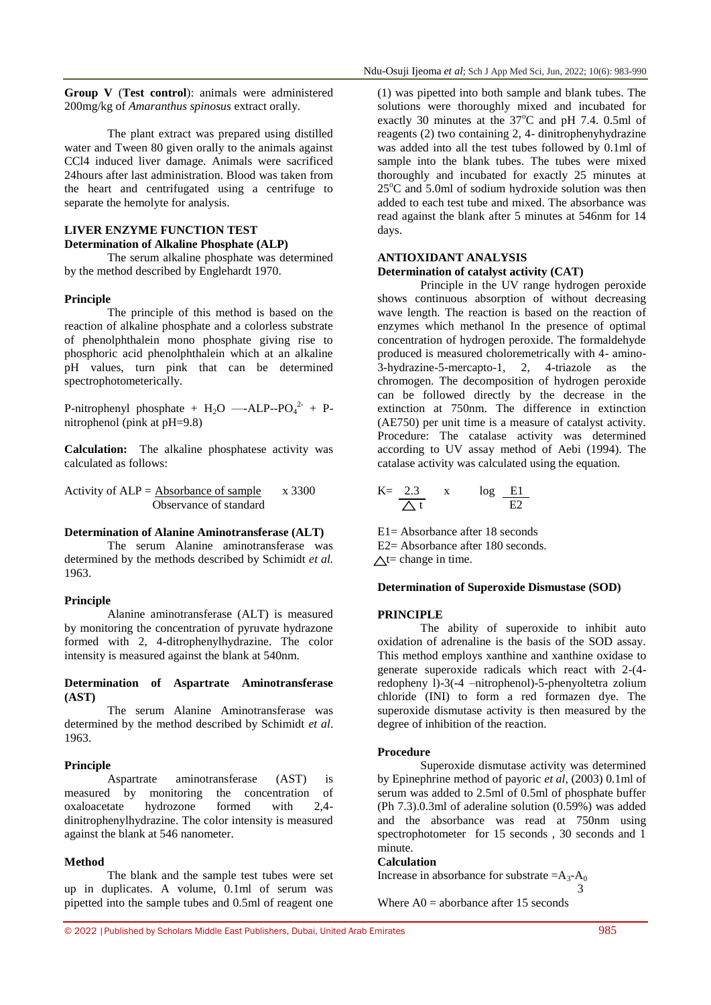**Group V** (**Test control**): animals were administered 200mg/kg of *Amaranthus spinosus* extract orally.

The plant extract was prepared using distilled water and Tween 80 given orally to the animals against CCl4 induced liver damage. Animals were sacrificed 24hours after last administration. Blood was taken from the heart and centrifugated using a centrifuge to separate the hemolyte for analysis.

### **LIVER ENZYME FUNCTION TEST Determination of Alkaline Phosphate (ALP)**

The serum alkaline phosphate was determined by the method described by Englehardt 1970.

#### **Principle**

The principle of this method is based on the reaction of alkaline phosphate and a colorless substrate of phenolphthalein mono phosphate giving rise to phosphoric acid phenolphthalein which at an alkaline pH values, turn pink that can be determined spectrophotometerically.

P-nitrophenyl phosphate +  $H_2O$  —-ALP--PO<sub>4</sub><sup>2-</sup> + Pnitrophenol (pink at pH=9.8)

**Calculation:** The alkaline phosphatese activity was calculated as follows:

Activity of  $ALP = Absorbance of sample$  x 3300 Observance of standard

#### **Determination of Alanine Aminotransferase (ALT)**

The serum Alanine aminotransferase was determined by the methods described by Schimidt *et al.* 1963.

#### **Principle**

Alanine aminotransferase (ALT) is measured by monitoring the concentration of pyruvate hydrazone formed with 2, 4-ditrophenylhydrazine. The color intensity is measured against the blank at 540nm.

#### **Determination of Aspartrate Aminotransferase (AST)**

The serum Alanine Aminotransferase was determined by the method described by Schimidt *et al*. 1963.

#### **Principle**

Aspartrate aminotransferase (AST) is measured by monitoring the concentration of oxaloacetate hydrozone formed with 2,4 dinitrophenylhydrazine. The color intensity is measured against the blank at 546 nanometer.

#### **Method**

The blank and the sample test tubes were set up in duplicates. A volume, 0.1ml of serum was pipetted into the sample tubes and 0.5ml of reagent one

(1) was pipetted into both sample and blank tubes. The solutions were thoroughly mixed and incubated for exactly 30 minutes at the  $37^{\circ}$ C and pH 7.4. 0.5ml of reagents (2) two containing 2, 4- dinitrophenyhydrazine was added into all the test tubes followed by 0.1ml of sample into the blank tubes. The tubes were mixed thoroughly and incubated for exactly 25 minutes at  $25^{\circ}$ C and 5.0ml of sodium hydroxide solution was then added to each test tube and mixed. The absorbance was read against the blank after 5 minutes at 546nm for 14 days.

#### **ANTIOXIDANT ANALYSIS**

#### **Determination of catalyst activity (CAT)**

Principle in the UV range hydrogen peroxide shows continuous absorption of without decreasing wave length. The reaction is based on the reaction of enzymes which methanol In the presence of optimal concentration of hydrogen peroxide. The formaldehyde produced is measured choloremetrically with 4- amino-3-hydrazine-5-mercapto-1, 2, 4-triazole as the chromogen. The decomposition of hydrogen peroxide can be followed directly by the decrease in the extinction at 750nm. The difference in extinction (AE750) per unit time is a measure of catalyst activity. Procedure: The catalase activity was determined according to UV assay method of Aebi (1994). The catalase activity was calculated using the equation.

$$
K = \frac{2.3}{\triangle t} \qquad x \qquad \log \frac{E1}{E2}
$$

E1= Absorbance after 18 seconds E2= Absorbance after 180 seconds.  $\triangle t$ = change in time.

#### **Determination of Superoxide Dismustase (SOD)**

#### **PRINCIPLE**

The ability of superoxide to inhibit auto oxidation of adrenaline is the basis of the SOD assay. This method employs xanthine and xanthine oxidase to generate superoxide radicals which react with 2-(4 redopheny l)-3(-4 –nitrophenol)-5-phenyoltetra zolium chloride (INI) to form a red formazen dye. The superoxide dismutase activity is then measured by the degree of inhibition of the reaction.

#### **Procedure**

Superoxide dismutase activity was determined by Epinephrine method of payoric *et al*, (2003) 0.1ml of serum was added to 2.5ml of 0.5ml of phosphate buffer (Ph 7.3).0.3ml of aderaline solution (0.59%) was added and the absorbance was read at 750nm using spectrophotometer for 15 seconds , 30 seconds and 1 minute.

#### **Calculation**

Increase in absorbance for substrate  $=A_3-A_0$ 3

Where  $AO =$  aborbance after 15 seconds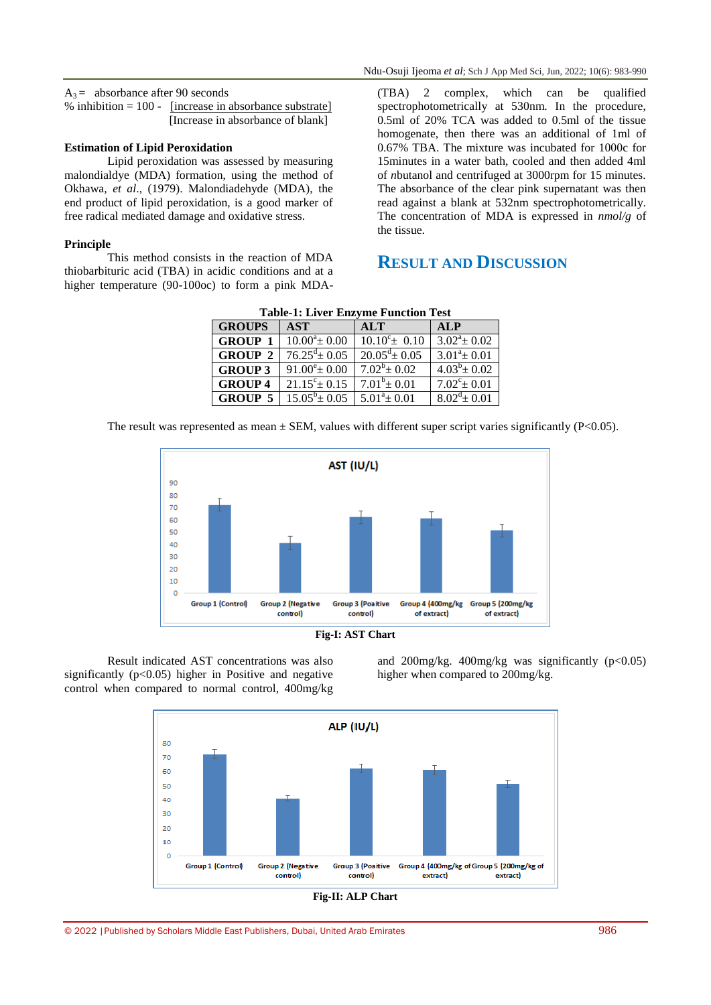$A_3$  = absorbance after 90 seconds

% inhibition  $= 100$  - [increase in absorbance substrate] [Increase in absorbance of blank]

#### **Estimation of Lipid Peroxidation**

Lipid peroxidation was assessed by measuring malondialdye (MDA) formation, using the method of Okhawa, *et al*., (1979). Malondiadehyde (MDA), the end product of lipid peroxidation, is a good marker of free radical mediated damage and oxidative stress.

#### **Principle**

This method consists in the reaction of MDA thiobarbituric acid (TBA) in acidic conditions and at a higher temperature (90-100oc) to form a pink MDA-

(TBA) 2 complex, which can be qualified spectrophotometrically at 530nm. In the procedure, 0.5ml of 20% TCA was added to 0.5ml of the tissue homogenate, then there was an additional of 1ml of 0.67% TBA. The mixture was incubated for 1000c for 15minutes in a water bath, cooled and then added 4ml of *n*butanol and centrifuged at 3000rpm for 15 minutes. The absorbance of the clear pink supernatant was then read against a blank at 532nm spectrophotometrically. The concentration of MDA is expressed in *nmol/g* of the tissue.

# **RESULT AND DISCUSSION**

| <b>Table-1: Liver Enzyme Function Test</b> |                             |                             |                         |  |  |
|--------------------------------------------|-----------------------------|-----------------------------|-------------------------|--|--|
| <b>GROUPS</b>                              | <b>AST</b>                  | <b>ALT</b>                  | <b>ALP</b>              |  |  |
| <b>GROUP 1</b>                             | $10.00^a \pm 0.00$          | $10.10^{\circ}$ ± 0.10      | $3.02^{\circ} \pm 0.02$ |  |  |
| <b>GROUP 2</b>                             | $76.25^{\text{d}} \pm 0.05$ | $20.05^{\text{d}} \pm 0.05$ | $3.01^a \pm 0.01$       |  |  |
| <b>GROUP 3</b>                             | $91.00^{\circ}$ = 0.00      | $7.02^b \pm 0.02$           | $4.03^b \pm 0.02$       |  |  |
| <b>GROUP 4</b>                             | $21.15^{\circ}$ ± 0.15      | $7.01^b \pm 0.01$           | $7.02^{\circ}$ ± 0.01   |  |  |
| <b>GROUP 5</b>                             | $15.05^b \pm 0.05$          | $5.01^a \pm 0.01$           | $8.02^d \pm 0.01$       |  |  |
|                                            |                             |                             |                         |  |  |

The result was represented as mean  $\pm$  SEM, values with different super script varies significantly (P<0.05).





Result indicated AST concentrations was also significantly  $(p<0.05)$  higher in Positive and negative control when compared to normal control, 400mg/kg and  $200$ mg/kg.  $400$ mg/kg was significantly (p<0.05) higher when compared to 200mg/kg.

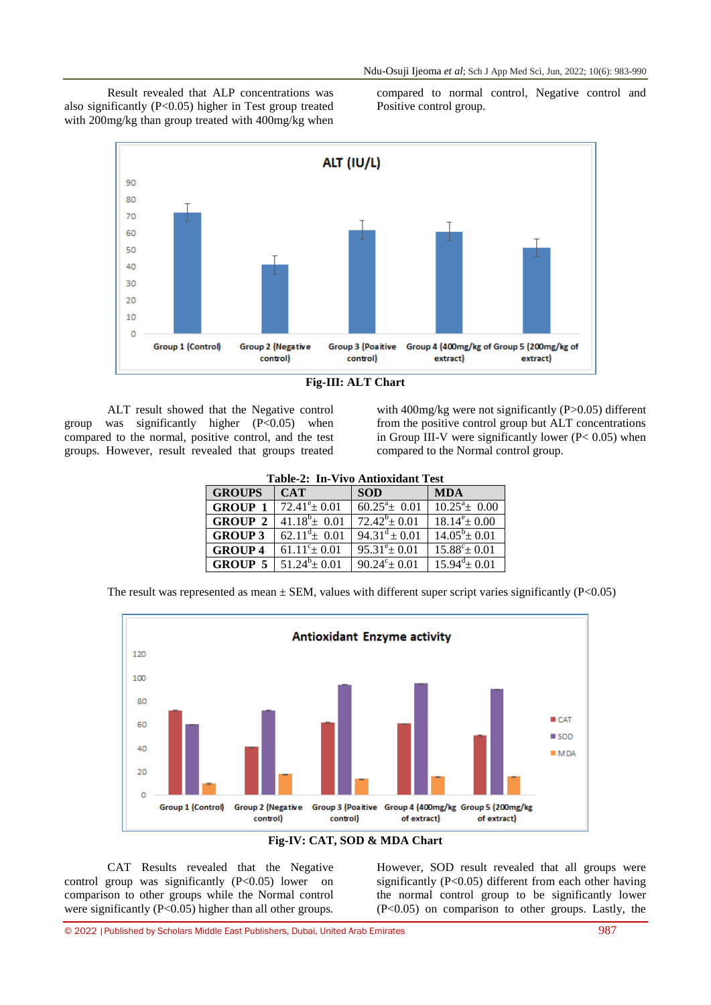Result revealed that ALP concentrations was also significantly (P<0.05) higher in Test group treated with 200mg/kg than group treated with 400mg/kg when compared to normal control, Negative control and Positive control group.



| Fig-III: ALT Chart |  |  |  |
|--------------------|--|--|--|
|                    |  |  |  |

ALT result showed that the Negative control group was significantly higher  $(P<0.05)$  when compared to the normal, positive control, and the test groups. However, result revealed that groups treated with  $400$ mg/kg were not significantly (P $>0.05$ ) different from the positive control group but ALT concentrations in Group III-V were significantly lower  $(P< 0.05)$  when compared to the Normal control group.

| <b>Table-2: In-Vivo Antioxidant Test</b> |                               |                          |                          |  |
|------------------------------------------|-------------------------------|--------------------------|--------------------------|--|
| <b>GROUPS</b>                            | <b>CAT</b>                    | <b>SOD</b>               | <b>MDA</b>               |  |
| <b>GROUP 1</b>                           | $72.41^{\circ} \pm 0.01$      | $60.25^{\circ}$ ± 0.01   | $10.25^{\circ}$ ± 0.00   |  |
| <b>GROUP 2</b>                           | $41.18^{b} \pm 0.01$          | $72.42^b \pm 0.01$       | $18.14^e \pm 0.00$       |  |
| <b>GROUP 3</b>                           | 62.11 <sup>d</sup> $\pm$ 0.01 | $94.31^d \pm 0.01$       | $14.05^b \pm 0.01$       |  |
| <b>GROUP 4</b>                           | $61.11^{\circ}$ ± 0.01        | $95.31^{\circ}$ ± 0.01   | $15.88^{\circ} \pm 0.01$ |  |
| <b>GROUP 5</b>                           | $51.24^b \pm 0.01$            | $90.24^{\circ} \pm 0.01$ | $15.94^d \pm 0.01$       |  |
|                                          |                               |                          |                          |  |

The result was represented as mean  $\pm$  SEM, values with different super script varies significantly (P<0.05)





CAT Results revealed that the Negative control group was significantly  $(P<0.05)$  lower on comparison to other groups while the Normal control were significantly (P<0.05) higher than all other groups.

However, SOD result revealed that all groups were significantly (P<0.05) different from each other having the normal control group to be significantly lower (P<0.05) on comparison to other groups. Lastly, the

© 2022 |Published by Scholars Middle East Publishers, Dubai, United Arab Emirates 987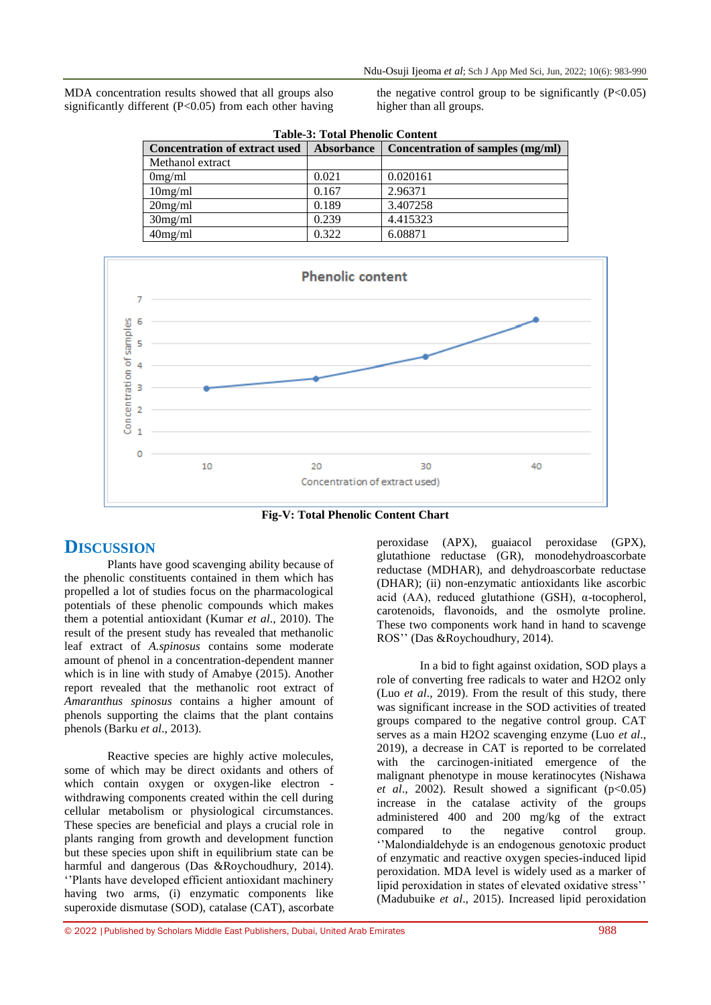MDA concentration results showed that all groups also significantly different (P<0.05) from each other having the negative control group to be significantly  $(P<0.05)$ higher than all groups.

| <b>Table-3: Total Phenolic Content</b> |                   |                                  |  |  |  |
|----------------------------------------|-------------------|----------------------------------|--|--|--|
| <b>Concentration of extract used</b>   | <b>Absorbance</b> | Concentration of samples (mg/ml) |  |  |  |
| Methanol extract                       |                   |                                  |  |  |  |
| 0mg/ml                                 | 0.021             | 0.020161                         |  |  |  |
| 10mg/ml                                | 0.167             | 2.96371                          |  |  |  |
| 20mg/ml                                | 0.189             | 3.407258                         |  |  |  |
| 30mg/ml                                | 0.239             | 4.415323                         |  |  |  |
| 40mg/ml                                | 0.322             | 6.08871                          |  |  |  |
|                                        |                   |                                  |  |  |  |



**Fig-V: Total Phenolic Content Chart**

# **DISCUSSION**

Plants have good scavenging ability because of the phenolic constituents contained in them which has propelled a lot of studies focus on the pharmacological potentials of these phenolic compounds which makes them a potential antioxidant (Kumar *et al*., 2010). The result of the present study has revealed that methanolic leaf extract of *A.spinosus* contains some moderate amount of phenol in a concentration-dependent manner which is in line with study of Amabye (2015). Another report revealed that the methanolic root extract of *Amaranthus spinosus* contains a higher amount of phenols supporting the claims that the plant contains phenols (Barku *et al*., 2013).

Reactive species are highly active molecules, some of which may be direct oxidants and others of which contain oxygen or oxygen-like electron withdrawing components created within the cell during cellular metabolism or physiological circumstances. These species are beneficial and plays a crucial role in plants ranging from growth and development function but these species upon shift in equilibrium state can be harmful and dangerous (Das &Roychoudhury, 2014). ''Plants have developed efficient antioxidant machinery having two arms, (i) enzymatic components like superoxide dismutase (SOD), catalase (CAT), ascorbate

peroxidase (APX), guaiacol peroxidase (GPX), glutathione reductase (GR), monodehydroascorbate reductase (MDHAR), and dehydroascorbate reductase (DHAR); (ii) non-enzymatic antioxidants like ascorbic acid (AA), reduced glutathione (GSH), α-tocopherol, carotenoids, flavonoids, and the osmolyte proline. These two components work hand in hand to scavenge ROS'' (Das &Roychoudhury, 2014).

In a bid to fight against oxidation, SOD plays a role of converting free radicals to water and H2O2 only (Luo *et al*., 2019). From the result of this study, there was significant increase in the SOD activities of treated groups compared to the negative control group. CAT serves as a main H2O2 scavenging enzyme (Luo *et al*., 2019), a decrease in CAT is reported to be correlated with the carcinogen-initiated emergence of the malignant phenotype in mouse keratinocytes (Nishawa *et al.*, 2002). Result showed a significant  $(p<0.05)$ increase in the catalase activity of the groups administered 400 and 200 mg/kg of the extract compared to the negative control group. ''Malondialdehyde is an endogenous genotoxic product of enzymatic and reactive oxygen species-induced lipid peroxidation. MDA level is widely used as a marker of lipid peroxidation in states of elevated oxidative stress'' (Madubuike *et al*., 2015). Increased lipid peroxidation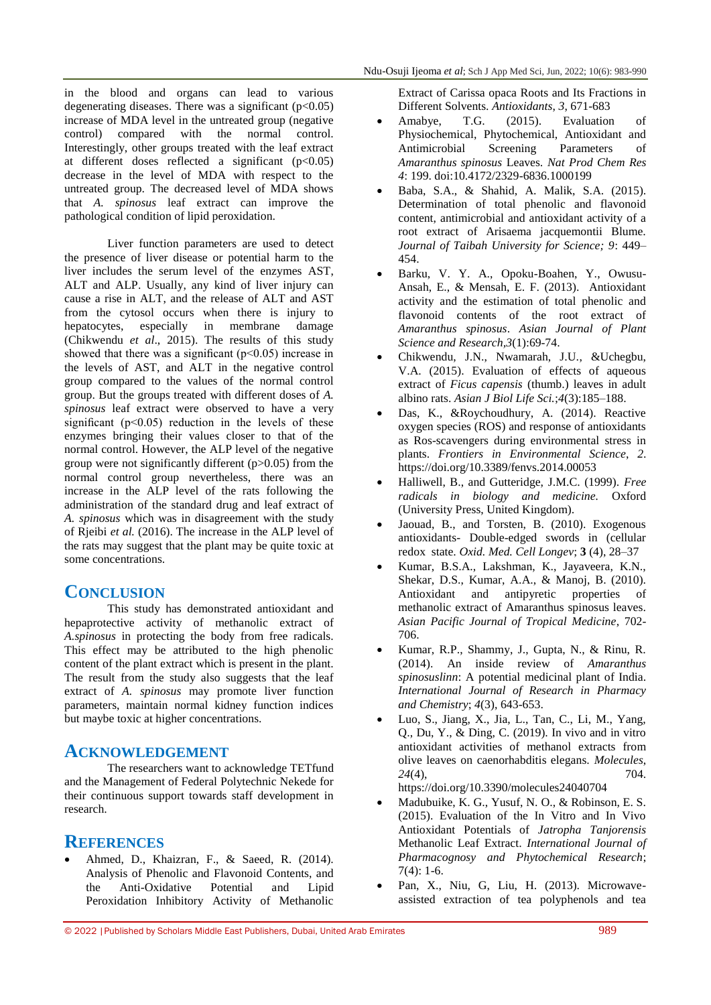in the blood and organs can lead to various degenerating diseases. There was a significant  $(p<0.05)$ increase of MDA level in the untreated group (negative control) compared with the normal control. Interestingly, other groups treated with the leaf extract at different doses reflected a significant  $(p<0.05)$ decrease in the level of MDA with respect to the untreated group. The decreased level of MDA shows that *A. spinosus* leaf extract can improve the pathological condition of lipid peroxidation.

Liver function parameters are used to detect the presence of liver disease or potential harm to the liver includes the serum level of the enzymes AST, ALT and ALP. Usually, any kind of liver injury can cause a rise in ALT, and the release of ALT and AST from the cytosol occurs when there is injury to hepatocytes, especially in membrane damage (Chikwendu *et al*., 2015). The results of this study showed that there was a significant ( $p<0.05$ ) increase in the levels of AST, and ALT in the negative control group compared to the values of the normal control group. But the groups treated with different doses of *A. spinosus* leaf extract were observed to have a very significant  $(p<0.05)$  reduction in the levels of these enzymes bringing their values closer to that of the normal control. However, the ALP level of the negative group were not significantly different (p>0.05) from the normal control group nevertheless, there was an increase in the ALP level of the rats following the administration of the standard drug and leaf extract of *A. spinosus* which was in disagreement with the study of Rjeibi *et al.* (2016). The increase in the ALP level of the rats may suggest that the plant may be quite toxic at some concentrations.

# **CONCLUSION**

This study has demonstrated antioxidant and hepaprotective activity of methanolic extract of *A.spinosus* in protecting the body from free radicals. This effect may be attributed to the high phenolic content of the plant extract which is present in the plant. The result from the study also suggests that the leaf extract of *A. spinosus* may promote liver function parameters, maintain normal kidney function indices but maybe toxic at higher concentrations.

## **ACKNOWLEDGEMENT**

The researchers want to acknowledge TETfund and the Management of Federal Polytechnic Nekede for their continuous support towards staff development in research.

# **REFERENCES**

 Ahmed, D., Khaizran, F., & Saeed, R. (2014). Analysis of Phenolic and Flavonoid Contents, and the Anti-Oxidative Potential and Lipid Peroxidation Inhibitory Activity of Methanolic

Extract of Carissa opaca Roots and Its Fractions in Different Solvents. *Antioxidants*, *3*, 671-683

- Amabye, T.G. (2015). Evaluation of Physiochemical, Phytochemical, Antioxidant and Antimicrobial Screening Parameters of *Amaranthus spinosus* Leaves. *Nat Prod Chem Res 4*: 199. doi:10.4172/2329-6836.1000199
- Baba, S.A., & Shahid, A. Malik, S.A. (2015). Determination of total phenolic and flavonoid content, antimicrobial and antioxidant activity of a root extract of Arisaema jacquemontii Blume. *Journal of Taibah University for Science; 9*: 449– 454.
- Barku, V. Y. A., Opoku-Boahen, Y., Owusu-Ansah, E., & Mensah, E. F. (2013). Antioxidant activity and the estimation of total phenolic and flavonoid contents of the root extract of *Amaranthus spinosus*. *Asian Journal of Plant Science and Research,3*(1):69-74.
- Chikwendu, J.N., Nwamarah, J.U., &Uchegbu, V.A. (2015). Evaluation of effects of aqueous extract of *Ficus capensis* (thumb.) leaves in adult albino rats. *Asian J Biol Life Sci.*;*4*(3):185–188.
- Das, K., &Roychoudhury, A. (2014). Reactive oxygen species (ROS) and response of antioxidants as Ros-scavengers during environmental stress in plants. *Frontiers in Environmental Science*, *2*. https://doi.org/10.3389/fenvs.2014.00053
- Halliwell, B., and Gutteridge, J.M.C. (1999). *Free radicals in biology and medicine.* Oxford (University Press, United Kingdom).
- Jaouad, B., and Torsten, B. (2010). Exogenous antioxidants- Double-edged swords in (cellular redox state. *Oxid. Med. Cell Longev*; **3** (4), 28–37
- Kumar, B.S.A., Lakshman, K., Jayaveera, K.N., Shekar, D.S., Kumar, A.A., & Manoj, B. (2010). Antioxidant and antipyretic properties of methanolic extract of Amaranthus spinosus leaves. *Asian Pacific Journal of Tropical Medicine*, 702- 706.
- Kumar, R.P., Shammy, J., Gupta, N., & Rinu, R. (2014). An inside review of *Amaranthus spinosuslinn*: A potential medicinal plant of India. *International Journal of Research in Pharmacy and Chemistry*; *4*(3), 643-653.
- Luo, S., Jiang, X., Jia, L., Tan, C., Li, M., Yang, Q., Du, Y., & Ding, C. (2019). In vivo and in vitro antioxidant activities of methanol extracts from olive leaves on caenorhabditis elegans. *Molecules*, *24*(4), 704.

https://doi.org/10.3390/molecules24040704

- Madubuike, K. G., Yusuf, N. O., & Robinson, E. S. (2015). Evaluation of the In Vitro and In Vivo Antioxidant Potentials of *Jatropha Tanjorensis* Methanolic Leaf Extract. *International Journal of Pharmacognosy and Phytochemical Research*;  $7(4): 1-6.$
- Pan, X., Niu, G, Liu, H. (2013). Microwaveassisted extraction of tea polyphenols and tea